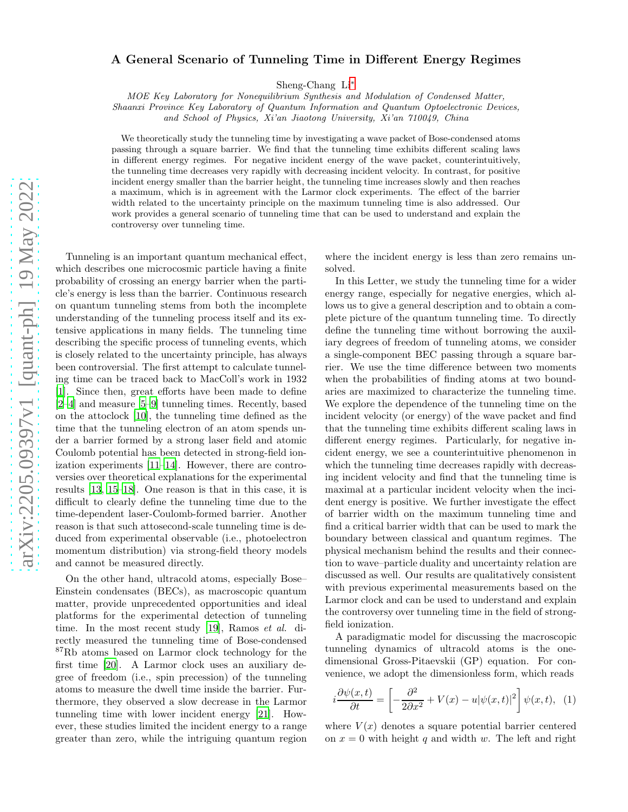## arXiv:2205.09397v1 [quant-ph] 19 May 2022 [arXiv:2205.09397v1 \[quant-ph\] 19 May 2022](http://arxiv.org/abs/2205.09397v1)

## A General Scenario of Tunneling Time in Different Energy Regimes

Sheng-Chang Li[∗](#page-4-0)

MOE Key Laboratory for Nonequilibrium Synthesis and Modulation of Condensed Matter,

Shaanxi Province Key Laboratory of Quantum Information and Quantum Optoelectronic Devices,

and School of Physics, Xi'an Jiaotong University, Xi'an 710049, China

We theoretically study the tunneling time by investigating a wave packet of Bose-condensed atoms passing through a square barrier. We find that the tunneling time exhibits different scaling laws in different energy regimes. For negative incident energy of the wave packet, counterintuitively, the tunneling time decreases very rapidly with decreasing incident velocity. In contrast, for positive incident energy smaller than the barrier height, the tunneling time increases slowly and then reaches a maximum, which is in agreement with the Larmor clock experiments. The effect of the barrier width related to the uncertainty principle on the maximum tunneling time is also addressed. Our work provides a general scenario of tunneling time that can be used to understand and explain the controversy over tunneling time.

Tunneling is an important quantum mechanical effect, which describes one microcosmic particle having a finite probability of crossing an energy barrier when the particle's energy is less than the barrier. Continuous research on quantum tunneling stems from both the incomplete understanding of the tunneling process itself and its extensive applications in many fields. The tunneling time describing the specific process of tunneling events, which is closely related to the uncertainty principle, has always been controversial. The first attempt to calculate tunneling time can be traced back to MacColl's work in 1932 [\[1\]](#page-4-1). Since then, great efforts have been made to define [\[2](#page-4-2)[–4\]](#page-4-3) and measure [\[5](#page-4-4)[–9](#page-4-5)] tunneling times. Recently, based on the attoclock [\[10\]](#page-4-6), the tunneling time defined as the time that the tunneling electron of an atom spends under a barrier formed by a strong laser field and atomic Coulomb potential has been detected in strong-field ionization experiments [\[11](#page-4-7)[–14\]](#page-4-8). However, there are controversies over theoretical explanations for the experimental results [\[13,](#page-4-9) [15](#page-4-10)[–18](#page-4-11)]. One reason is that in this case, it is difficult to clearly define the tunneling time due to the time-dependent laser-Coulomb-formed barrier. Another reason is that such attosecond-scale tunneling time is deduced from experimental observable (i.e., photoelectron momentum distribution) via strong-field theory models and cannot be measured directly.

On the other hand, ultracold atoms, especially Bose– Einstein condensates (BECs), as macroscopic quantum matter, provide unprecedented opportunities and ideal platforms for the experimental detection of tunneling time. In the most recent study [\[19\]](#page-4-12), Ramos et al. directly measured the tunneling time of Bose-condensed <sup>87</sup>Rb atoms based on Larmor clock technology for the first time [\[20](#page-4-13)]. A Larmor clock uses an auxiliary degree of freedom (i.e., spin precession) of the tunneling atoms to measure the dwell time inside the barrier. Furthermore, they observed a slow decrease in the Larmor tunneling time with lower incident energy [\[21\]](#page-4-14). However, these studies limited the incident energy to a range greater than zero, while the intriguing quantum region

where the incident energy is less than zero remains unsolved.

In this Letter, we study the tunneling time for a wider energy range, especially for negative energies, which allows us to give a general description and to obtain a complete picture of the quantum tunneling time. To directly define the tunneling time without borrowing the auxiliary degrees of freedom of tunneling atoms, we consider a single-component BEC passing through a square barrier. We use the time difference between two moments when the probabilities of finding atoms at two boundaries are maximized to characterize the tunneling time. We explore the dependence of the tunneling time on the incident velocity (or energy) of the wave packet and find that the tunneling time exhibits different scaling laws in different energy regimes. Particularly, for negative incident energy, we see a counterintuitive phenomenon in which the tunneling time decreases rapidly with decreasing incident velocity and find that the tunneling time is maximal at a particular incident velocity when the incident energy is positive. We further investigate the effect of barrier width on the maximum tunneling time and find a critical barrier width that can be used to mark the boundary between classical and quantum regimes. The physical mechanism behind the results and their connection to wave–particle duality and uncertainty relation are discussed as well. Our results are qualitatively consistent with previous experimental measurements based on the Larmor clock and can be used to understand and explain the controversy over tunneling time in the field of strongfield ionization.

A paradigmatic model for discussing the macroscopic tunneling dynamics of ultracold atoms is the onedimensional Gross-Pitaevskii (GP) equation. For convenience, we adopt the dimensionless form, which reads

<span id="page-0-0"></span>
$$
i\frac{\partial\psi(x,t)}{\partial t} = \left[-\frac{\partial^2}{2\partial x^2} + V(x) - u|\psi(x,t)|^2\right]\psi(x,t), \tag{1}
$$

where  $V(x)$  denotes a square potential barrier centered on  $x = 0$  with height q and width w. The left and right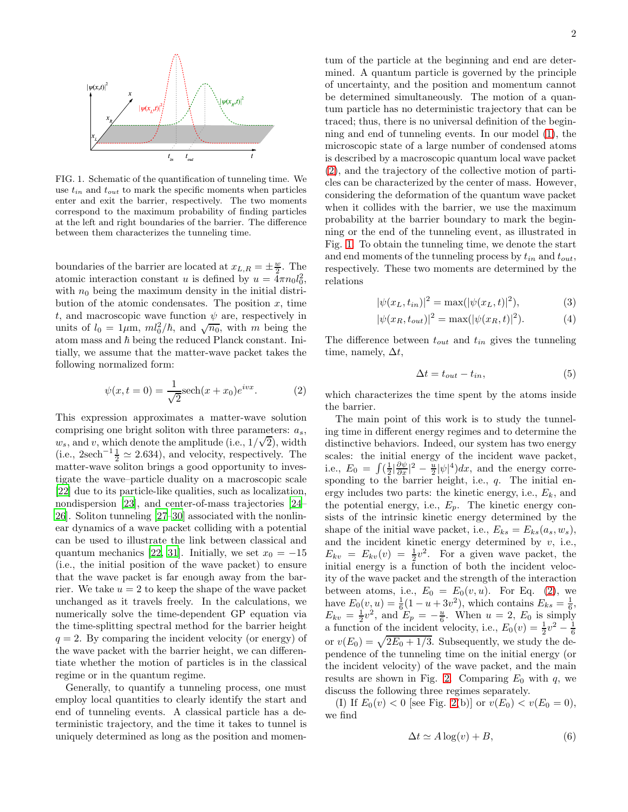

<span id="page-1-1"></span>FIG. 1. Schematic of the quantification of tunneling time. We use  $t_{in}$  and  $t_{out}$  to mark the specific moments when particles enter and exit the barrier, respectively. The two moments correspond to the maximum probability of finding particles at the left and right boundaries of the barrier. The difference between them characterizes the tunneling time.

boundaries of the barrier are located at  $x_{L,R} = \pm \frac{w}{2}$ . The atomic interaction constant u is defined by  $u = \overline{4\pi} n_0 l_0^2$ , with  $n_0$  being the maximum density in the initial distribution of the atomic condensates. The position  $x$ , time t, and macroscopic wave function  $\psi$  are, respectively in units of  $l_0 = 1 \mu m$ ,  $ml_0^2/\hbar$ , and  $\sqrt{n_0}$ , with m being the atom mass and  $\hbar$  being the reduced Planck constant. Initially, we assume that the matter-wave packet takes the following normalized form:

<span id="page-1-0"></span>
$$
\psi(x, t = 0) = \frac{1}{\sqrt{2}} \text{sech}(x + x_0)e^{ivx}.
$$
 (2)

This expression approximates a matter-wave solution comprising one bright soliton with three parameters:  $a_s$ ,  $w_s$ , and v, which denote the amplitude (i.e.,  $1/\sqrt{2}$ ), width (i.e., 2sech<sup>-1</sup> $\frac{1}{2} \simeq 2.634$ ), and velocity, respectively. The matter-wave soliton brings a good opportunity to investigate the wave–particle duality on a macroscopic scale [\[22\]](#page-4-15) due to its particle-like qualities, such as localization, nondispersion [\[23\]](#page-4-16), and center-of-mass trajectories [\[24](#page-4-17)– [26\]](#page-4-18). Soliton tunneling [\[27](#page-4-19)[–30](#page-4-20)] associated with the nonlinear dynamics of a wave packet colliding with a potential can be used to illustrate the link between classical and quantum mechanics [\[22](#page-4-15), [31\]](#page-4-21). Initially, we set  $x_0 = -15$ (i.e., the initial position of the wave packet) to ensure that the wave packet is far enough away from the barrier. We take  $u = 2$  to keep the shape of the wave packet unchanged as it travels freely. In the calculations, we numerically solve the time-dependent GP equation via the time-splitting spectral method for the barrier height  $q = 2$ . By comparing the incident velocity (or energy) of the wave packet with the barrier height, we can differentiate whether the motion of particles is in the classical regime or in the quantum regime.

Generally, to quantify a tunneling process, one must employ local quantities to clearly identify the start and end of tunneling events. A classical particle has a deterministic trajectory, and the time it takes to tunnel is uniquely determined as long as the position and momen-

tum of the particle at the beginning and end are determined. A quantum particle is governed by the principle of uncertainty, and the position and momentum cannot be determined simultaneously. The motion of a quantum particle has no deterministic trajectory that can be traced; thus, there is no universal definition of the beginning and end of tunneling events. In our model [\(1\)](#page-0-0), the microscopic state of a large number of condensed atoms is described by a macroscopic quantum local wave packet [\(2\)](#page-1-0), and the trajectory of the collective motion of particles can be characterized by the center of mass. However, considering the deformation of the quantum wave packet when it collides with the barrier, we use the maximum probability at the barrier boundary to mark the beginning or the end of the tunneling event, as illustrated in Fig. [1.](#page-1-1) To obtain the tunneling time, we denote the start and end moments of the tunneling process by  $t_{in}$  and  $t_{out}$ , respectively. These two moments are determined by the relations

$$
|\psi(x_L, t_{in})|^2 = \max(|\psi(x_L, t)|^2), \tag{3}
$$

$$
|\psi(x_R, t_{out})|^2 = \max(|\psi(x_R, t)|^2). \tag{4}
$$

The difference between  $t_{out}$  and  $t_{in}$  gives the tunneling time, namely,  $\Delta t$ ,

$$
\Delta t = t_{out} - t_{in},\tag{5}
$$

which characterizes the time spent by the atoms inside the barrier.

The main point of this work is to study the tunneling time in different energy regimes and to determine the distinctive behaviors. Indeed, our system has two energy scales: the initial energy of the incident wave packet, i.e.,  $E_0 = \int (\frac{1}{2}|\frac{\partial \psi}{\partial x}|^2 - \frac{u}{2}|\psi|^4)dx$ , and the energy corresponding to the barrier height, i.e.,  $q$ . The initial energy includes two parts: the kinetic energy, i.e.,  $E_k$ , and the potential energy, i.e.,  $E_p$ . The kinetic energy consists of the intrinsic kinetic energy determined by the shape of the initial wave packet, i.e.,  $E_{ks} = E_{ks}(a_s, w_s)$ , and the incident kinetic energy determined by  $v$ , i.e.,  $E_{kv} = E_{kv}(v) = \frac{1}{2}v^2$ . For a given wave packet, the initial energy is a function of both the incident velocity of the wave packet and the strength of the interaction between atoms, i.e.,  $E_0 = E_0(v, u)$ . For Eq. [\(2\)](#page-1-0), we have  $E_0(v, u) = \frac{1}{6}(1 - u + 3v^2)$ , which contains  $E_{ks} = \frac{1}{6}$ ,  $E_{kv} = \frac{1}{2}v^2$ , and  $E_p = -\frac{u}{6}$ . When  $u = 2$ ,  $E_0$  is simply a function of the incident velocity, i.e.,  $E_0(v) = \frac{1}{2}v^2 - \frac{1}{6}$ or  $v(E_0) = \sqrt{2E_0 + 1/3}$ . Subsequently, we study the dependence of the tunneling time on the initial energy (or the incident velocity) of the wave packet, and the main results are shown in Fig. [2.](#page-2-0) Comparing  $E_0$  with q, we discuss the following three regimes separately.

(I) If  $E_0(v) < 0$  [see Fig. [2\(](#page-2-0)b)] or  $v(E_0) < v(E_0 = 0)$ , we find

$$
\Delta t \simeq A \log(v) + B,\tag{6}
$$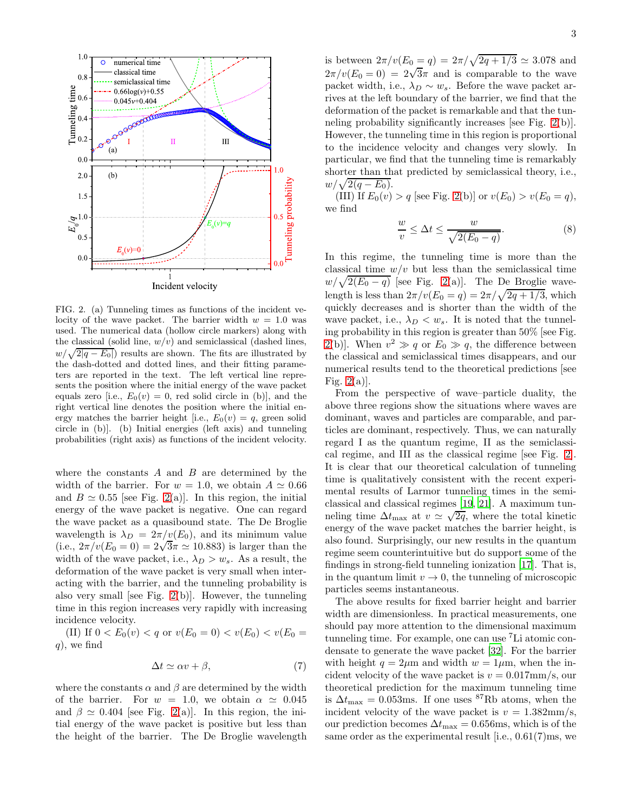

<span id="page-2-0"></span>FIG. 2. (a) Tunneling times as functions of the incident velocity of the wave packet. The barrier width  $w = 1.0$  was used. The numerical data (hollow circle markers) along with the classical (solid line,  $w/v$ ) and semiclassical (dashed lines,  $w/\sqrt{2|q-E_0|}$  results are shown. The fits are illustrated by the dash-dotted and dotted lines, and their fitting parameters are reported in the text. The left vertical line represents the position where the initial energy of the wave packet equals zero [i.e.,  $E_0(v) = 0$ , red solid circle in (b)], and the right vertical line denotes the position where the initial energy matches the barrier height [i.e.,  $E_0(v) = q$ , green solid circle in (b)]. (b) Initial energies (left axis) and tunneling probabilities (right axis) as functions of the incident velocity.

where the constants  $A$  and  $B$  are determined by the width of the barrier. For  $w = 1.0$ , we obtain  $A \simeq 0.66$ and  $B \simeq 0.55$  [see Fig. [2\(](#page-2-0)a)]. In this region, the initial energy of the wave packet is negative. One can regard the wave packet as a quasibound state. The De Broglie wavelength is  $\lambda_D = 2\pi/v(E_0)$ , and its minimum value (i.e.,  $2\pi/v(E_0 = 0) = 2\sqrt{3}\pi \approx 10.883$ ) is larger than the width of the wave packet, i.e.,  $\lambda_D > w_s$ . As a result, the deformation of the wave packet is very small when interacting with the barrier, and the tunneling probability is also very small [see Fig.  $2(b)$ ]. However, the tunneling time in this region increases very rapidly with increasing incidence velocity.

(II) If  $0 < E_0(v) < q$  or  $v(E_0 = 0) < v(E_0) < v(E_0 = 0)$  $q$ , we find

$$
\Delta t \simeq \alpha v + \beta,\tag{7}
$$

where the constants  $\alpha$  and  $\beta$  are determined by the width of the barrier. For  $w = 1.0$ , we obtain  $\alpha \approx 0.045$ and  $\beta \simeq 0.404$  [see Fig. [2\(](#page-2-0)a)]. In this region, the initial energy of the wave packet is positive but less than the height of the barrier. The De Broglie wavelength

is between  $2\pi/v(E_0 = q) = 2\pi/\sqrt{2q + 1/3} \simeq 3.078$  and  $2\pi/v(E_0=0) = 2\sqrt{3}\pi$  and is comparable to the wave packet width, i.e.,  $\lambda_D \sim w_s$ . Before the wave packet arrives at the left boundary of the barrier, we find that the deformation of the packet is remarkable and that the tunneling probability significantly increases [see Fig. [2\(](#page-2-0)b)]. However, the tunneling time in this region is proportional to the incidence velocity and changes very slowly. In particular, we find that the tunneling time is remarkably shorter than that predicted by semiclassical theory, i.e.,  $w/\sqrt{2(q-E_0)}$ .

(III) If  $E_0(v) > q$  [see Fig. [2\(](#page-2-0)b)] or  $v(E_0) > v(E_0 = q)$ , we find

$$
\frac{w}{v} \le \Delta t \le \frac{w}{\sqrt{2(E_0 - q)}}.\tag{8}
$$

In this regime, the tunneling time is more than the classical time  $w/v$  but less than the semiclassical time  $w/\sqrt{2(E_0-q)}$  [see Fig. [2\(](#page-2-0)a)]. The De Broglie wavelength is less than  $2\pi/v(E_0 = q) = 2\pi/\sqrt{2q + 1/3}$ , which quickly decreases and is shorter than the width of the wave packet, i.e.,  $\lambda_D < w_s$ . It is noted that the tunneling probability in this region is greater than 50% [see Fig. [2\(](#page-2-0)b)]. When  $v^2 \gg q$  or  $E_0 \gg q$ , the difference between the classical and semiclassical times disappears, and our numerical results tend to the theoretical predictions [see Fig.  $2(a)$ .

From the perspective of wave–particle duality, the above three regions show the situations where waves are dominant, waves and particles are comparable, and particles are dominant, respectively. Thus, we can naturally regard I as the quantum regime, II as the semiclassical regime, and III as the classical regime [see Fig. [2\]](#page-2-0). It is clear that our theoretical calculation of tunneling time is qualitatively consistent with the recent experimental results of Larmor tunneling times in the semiclassical and classical regimes [\[19](#page-4-12), [21\]](#page-4-14). A maximum tunneling time  $\Delta t_{\text{max}}$  at  $v \simeq \sqrt{2q}$ , where the total kinetic energy of the wave packet matches the barrier height, is also found. Surprisingly, our new results in the quantum regime seem counterintuitive but do support some of the findings in strong-field tunneling ionization [\[17\]](#page-4-22). That is, in the quantum limit  $v \to 0$ , the tunneling of microscopic particles seems instantaneous.

The above results for fixed barrier height and barrier width are dimensionless. In practical measurements, one should pay more attention to the dimensional maximum tunneling time. For example, one can use <sup>7</sup>Li atomic condensate to generate the wave packet [\[32\]](#page-4-23). For the barrier with height  $q = 2\mu m$  and width  $w = 1\mu m$ , when the incident velocity of the wave packet is  $v = 0.017$ mm/s, our theoretical prediction for the maximum tunneling time is  $\Delta t_{\text{max}} = 0.053$ ms. If one uses <sup>87</sup>Rb atoms, when the incident velocity of the wave packet is  $v = 1.382 \text{mm/s}$ , our prediction becomes  $\Delta t_{\text{max}} = 0.656 \text{ms}$ , which is of the same order as the experimental result [i.e., 0.61(7)ms, we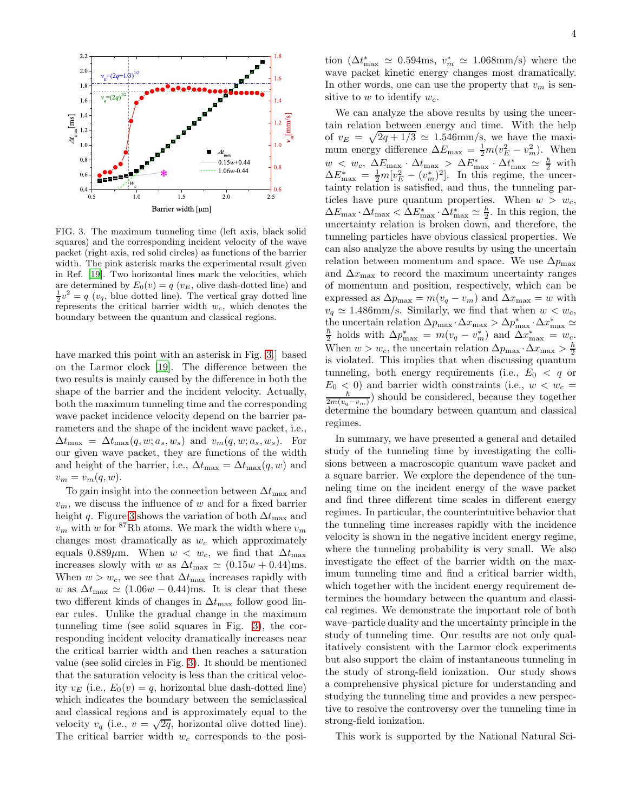

<span id="page-3-0"></span>FIG. 3. The maximum tunneling time (left axis, black solid squares) and the corresponding incident velocity of the wave packet (right axis, red solid circles) as functions of the barrier width. The pink asterisk marks the experimental result given in Ref. [\[19\]](#page-4-12). Two horizontal lines mark the velocities, which are determined by  $E_0(v) = q(v_E,$  olive dash-dotted line) and  $\frac{1}{2}v^2 = q(v_q)$ , blue dotted line). The vertical gray dotted line represents the critical barrier width  $w_c$ , which denotes the boundary between the quantum and classical regions.

have marked this point with an asterisk in Fig. [3.](#page-3-0)] based on the Larmor clock [\[19\]](#page-4-12). The difference between the two results is mainly caused by the difference in both the shape of the barrier and the incident velocity. Actually, both the maximum tunneling time and the corresponding wave packet incidence velocity depend on the barrier parameters and the shape of the incident wave packet, i.e.,  $\Delta t_{\text{max}} = \Delta t_{\text{max}}(q, w; a_s, w_s)$  and  $v_m(q, w; a_s, w_s)$ . For our given wave packet, they are functions of the width and height of the barrier, i.e.,  $\Delta t_{\text{max}} = \Delta t_{\text{max}}(q, w)$  and  $v_m = v_m(q, w).$ 

To gain insight into the connection between  $\Delta t_{\text{max}}$  and  $v_m$ , we discuss the influence of w and for a fixed barrier height q. Figure [3](#page-3-0) shows the variation of both  $\Delta t_{\text{max}}$  and  $v_m$  with w for <sup>87</sup>Rb atoms. We mark the width where  $v_m$ changes most dramatically as  $w_c$  which approximately equals 0.889 $\mu$ m. When  $w < w_c$ , we find that  $\Delta t_{\text{max}}$ increases slowly with w as  $\Delta t_{\text{max}} \simeq (0.15w + 0.44) \text{ms}.$ When  $w > w_c$ , we see that  $\Delta t_{\text{max}}$  increases rapidly with w as  $\Delta t_{\text{max}} \simeq (1.06w - 0.44)$ ms. It is clear that these two different kinds of changes in  $\Delta t_{\text{max}}$  follow good linear rules. Unlike the gradual change in the maximum tunneling time (see solid squares in Fig. [3\)](#page-3-0), the corresponding incident velocity dramatically increases near the critical barrier width and then reaches a saturation value (see solid circles in Fig. [3\)](#page-3-0). It should be mentioned that the saturation velocity is less than the critical velocity  $v_E$  (i.e.,  $E_0(v) = q$ , horizontal blue dash-dotted line) which indicates the boundary between the semiclassical and classical regions and is approximately equal to the velocity  $v_q$  (i.e.,  $v = \sqrt{2q}$ , horizontal olive dotted line). The critical barrier width  $w_c$  corresponds to the posi-

tion  $(\Delta t_{\text{max}}^* \simeq 0.594 \text{ms}, v_m^* \simeq 1.068 \text{mm/s})$  where the wave packet kinetic energy changes most dramatically. In other words, one can use the property that  $v_m$  is sensitive to w to identify  $w_c$ .

We can analyze the above results by using the uncertain relation between energy and time. With the help of  $v_E = \sqrt{2q + 1/3} \simeq 1.546$ mm/s, we have the maximum energy difference  $\Delta E_{\text{max}} = \frac{1}{2} m (v_E^2 - v_m^2)$ . When  $w < w_c$ ,  $\Delta E_{\text{max}} \cdot \Delta t_{\text{max}} > \Delta E_{\text{max}}^* \cdot \Delta t_{\text{max}}^* \approx \frac{\hbar}{2}$  with  $\Delta E_{\text{max}}^* = \frac{1}{2} m [v_E^2 - (v_m^*)^2]$ . In this regime, the uncertainty relation is satisfied, and thus, the tunneling particles have pure quantum properties. When  $w > w_c$ ,  $\Delta E_{\rm max}\cdot\Delta t_{\rm max} < \Delta E_{\rm max}^*\cdot\Delta t_{\rm max}^* \simeq \frac{\hbar}{2}$  $\frac{h}{2}$ . In this region, the uncertainty relation is broken down, and therefore, the tunneling particles have obvious classical properties. We can also analyze the above results by using the uncertain relation between momentum and space. We use  $\Delta p_{\text{max}}$ and  $\Delta x_{\text{max}}$  to record the maximum uncertainty ranges of momentum and position, respectively, which can be expressed as  $\Delta p_{\text{max}} = m(v_q - v_m)$  and  $\Delta x_{\text{max}} = w$  with  $v_q \simeq 1.486$ mm/s. Similarly, we find that when  $w < w_c$ , the uncertain relation  $\Delta p_{\text{max}} \cdot \Delta x_{\text{max}} > \Delta p_{\text{max}}^* \cdot \Delta x_{\text{max}}^* \simeq$  $\hbar$  $\frac{\hbar}{2}$  holds with  $\Delta p_{\text{max}}^* = m(v_q - v_m^*)$  and  $\Delta x_{\text{max}}^* = w_c$ . When  $w > w_c$ , the uncertain relation  $\Delta p_{\text{max}} \cdot \Delta x_{\text{max}} > \frac{\hbar}{2}$ 2 is violated. This implies that when discussing quantum tunneling, both energy requirements (i.e.,  $E_0 < q$  or  $E_0$  < 0) and barrier width constraints (i.e.,  $w < w_c$  =  $\frac{\hbar}{2m(v_q-v_m)}$ ) should be considered, because they together determine the boundary between quantum and classical regimes.

In summary, we have presented a general and detailed study of the tunneling time by investigating the collisions between a macroscopic quantum wave packet and a square barrier. We explore the dependence of the tunneling time on the incident energy of the wave packet and find three different time scales in different energy regimes. In particular, the counterintuitive behavior that the tunneling time increases rapidly with the incidence velocity is shown in the negative incident energy regime, where the tunneling probability is very small. We also investigate the effect of the barrier width on the maximum tunneling time and find a critical barrier width, which together with the incident energy requirement determines the boundary between the quantum and classical regimes. We demonstrate the important role of both wave–particle duality and the uncertainty principle in the study of tunneling time. Our results are not only qualitatively consistent with the Larmor clock experiments but also support the claim of instantaneous tunneling in the study of strong-field ionization. Our study shows a comprehensive physical picture for understanding and studying the tunneling time and provides a new perspective to resolve the controversy over the tunneling time in strong-field ionization.

This work is supported by the National Natural Sci-